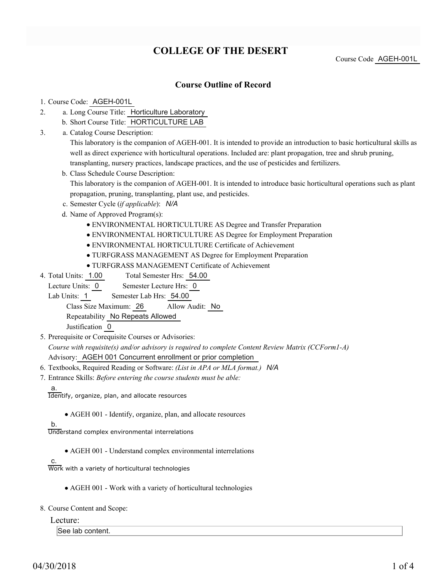# **COLLEGE OF THE DESERT**

Course Code AGEH-001L

### **Course Outline of Record**

### 1. Course Code: AGEH-001L

- a. Long Course Title: Horticulture Laboratory 2.
	- b. Short Course Title: HORTICULTURE LAB
- Catalog Course Description: a. 3.

This laboratory is the companion of AGEH-001. It is intended to provide an introduction to basic horticultural skills as well as direct experience with horticultural operations. Included are: plant propagation, tree and shrub pruning, transplanting, nursery practices, landscape practices, and the use of pesticides and fertilizers.

b. Class Schedule Course Description:

This laboratory is the companion of AGEH-001. It is intended to introduce basic horticultural operations such as plant propagation, pruning, transplanting, plant use, and pesticides.

- c. Semester Cycle (*if applicable*): *N/A*
- d. Name of Approved Program(s):
	- ENVIRONMENTAL HORTICULTURE AS Degree and Transfer Preparation
	- ENVIRONMENTAL HORTICULTURE AS Degree for Employment Preparation
	- ENVIRONMENTAL HORTICULTURE Certificate of Achievement
	- TURFGRASS MANAGEMENT AS Degree for Employment Preparation
	- TURFGRASS MANAGEMENT Certificate of Achievement
- Total Semester Hrs: 54.00 4. Total Units: 1.00
- Lecture Units: 0 Semester Lecture Hrs: 0

Lab Units: 1 Semester Lab Hrs: 54.00

Class Size Maximum: 26 Allow Audit: No

Repeatability No Repeats Allowed

Justification 0

5. Prerequisite or Corequisite Courses or Advisories:

*Course with requisite(s) and/or advisory is required to complete Content Review Matrix (CCForm1-A)* Advisory: AGEH 001 Concurrent enrollment or prior completion

- 6. Textbooks, Required Reading or Software: *(List in APA or MLA format.) N/A*
- Entrance Skills: *Before entering the course students must be able:* 7.
	- a.

Identify, organize, plan, and allocate resources

AGEH 001 - Identify, organize, plan, and allocate resources

b.

c.

Understand complex environmental interrelations

AGEH 001 - Understand complex environmental interrelations

Work with a variety of horticultural technologies

AGEH 001 - Work with a variety of horticultural technologies

8. Course Content and Scope:

Lecture:

See lab content.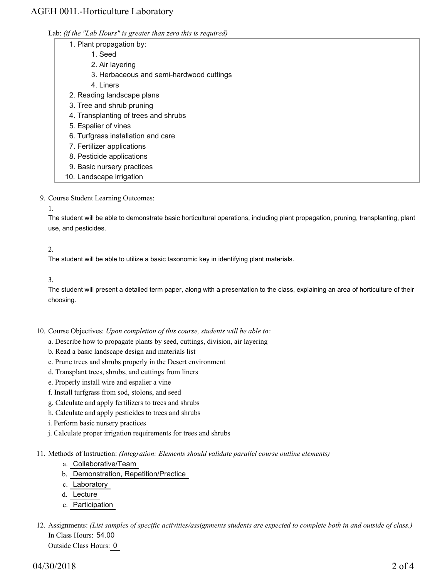## AGEH 001L-Horticulture Laboratory

| Lab: (if the "Lab Hours" is greater than zero this is required) |  |  |  |
|-----------------------------------------------------------------|--|--|--|
|                                                                 |  |  |  |

- 1. Plant propagation by:
	- 1. Seed
	- 2. Air layering
	- 3. Herbaceous and semi-hardwood cuttings
	- 4. Liners
- 2. Reading landscape plans
- 3. Tree and shrub pruning
- 4. Transplanting of trees and shrubs
- 5. Espalier of vines
- 6. Turfgrass installation and care
- 7. Fertilizer applications
- 8. Pesticide applications
- 9. Basic nursery practices
- 10. Landscape irrigation
- 9. Course Student Learning Outcomes:
	- 1.

The student will be able to demonstrate basic horticultural operations, including plant propagation, pruning, transplanting, plant use, and pesticides.

### 2.

The student will be able to utilize a basic taxonomic key in identifying plant materials.

#### 3.

The student will present a detailed term paper, along with a presentation to the class, explaining an area of horticulture of their choosing.

- 10. Course Objectives: Upon completion of this course, students will be able to:
	- a. Describe how to propagate plants by seed, cuttings, division, air layering
	- b. Read a basic landscape design and materials list
	- c. Prune trees and shrubs properly in the Desert environment
	- d. Transplant trees, shrubs, and cuttings from liners
	- e. Properly install wire and espalier a vine
	- f. Install turfgrass from sod, stolons, and seed
	- g. Calculate and apply fertilizers to trees and shrubs
	- h. Calculate and apply pesticides to trees and shrubs
	- i. Perform basic nursery practices
	- j. Calculate proper irrigation requirements for trees and shrubs
- 11. Methods of Instruction: *(Integration: Elements should validate parallel course outline elements)* 
	- a. Collaborative/Team
	- b. Demonstration, Repetition/Practice
	- c. Laboratory
	- d. Lecture
	- e. Participation
- 12. Assignments: (List samples of specific activities/assignments students are expected to complete both in and outside of class.) In Class Hours: 54.00 Outside Class Hours: 0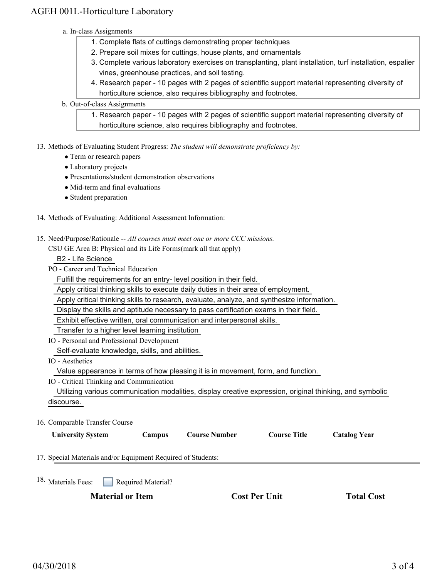## AGEH 001L-Horticulture Laboratory

- a. In-class Assignments
	- 1. Complete flats of cuttings demonstrating proper techniques
	- 2. Prepare soil mixes for cuttings, house plants, and ornamentals
	- 3. Complete various laboratory exercises on transplanting, plant installation, turf installation, espalier vines, greenhouse practices, and soil testing.
	- 4. Research paper 10 pages with 2 pages of scientific support material representing diversity of horticulture science, also requires bibliography and footnotes.
- b. Out-of-class Assignments
	- 1. Research paper 10 pages with 2 pages of scientific support material representing diversity of horticulture science, also requires bibliography and footnotes.

13. Methods of Evaluating Student Progress: The student will demonstrate proficiency by:

- Term or research papers
- Laboratory projects
- Presentations/student demonstration observations
- Mid-term and final evaluations
- Student preparation
- 14. Methods of Evaluating: Additional Assessment Information:
- 15. Need/Purpose/Rationale -- All courses must meet one or more CCC missions.

CSU GE Area B: Physical and its Life Forms(mark all that apply)

B2 - Life Science

PO - Career and Technical Education

Fulfill the requirements for an entry- level position in their field.

Apply critical thinking skills to execute daily duties in their area of employment.

Apply critical thinking skills to research, evaluate, analyze, and synthesize information.

Display the skills and aptitude necessary to pass certification exams in their field.

Exhibit effective written, oral communication and interpersonal skills.

Transfer to a higher level learning institution

- IO Personal and Professional Development Self-evaluate knowledge, skills, and abilities.
- IO Aesthetics

Value appearance in terms of how pleasing it is in movement, form, and function.

IO - Critical Thinking and Communication

 Utilizing various communication modalities, display creative expression, original thinking, and symbolic discourse.

16. Comparable Transfer Course

| <b>University System</b>                                     | Campus             | <b>Course Number</b> | <b>Course Title</b> | <b>Catalog Year</b> |  |
|--------------------------------------------------------------|--------------------|----------------------|---------------------|---------------------|--|
| 17. Special Materials and/or Equipment Required of Students: |                    |                      |                     |                     |  |
| $18.$ Meterials Eggs:                                        | Dogwired Motorial? |                      |                     |                     |  |

Materials Fees: **Required Material**?

**Material or Item Cost Per Unit Total Cost Per Unit Total Cost Per Unit Cost Per Cost Per Cost Per Cost Per Cost Per Cost Per Cost Per Cost Per Cost Per Cost Per Cost Per Cost Per Cost Per Cost Per Cost Per Cost Per Cost P** 

18.